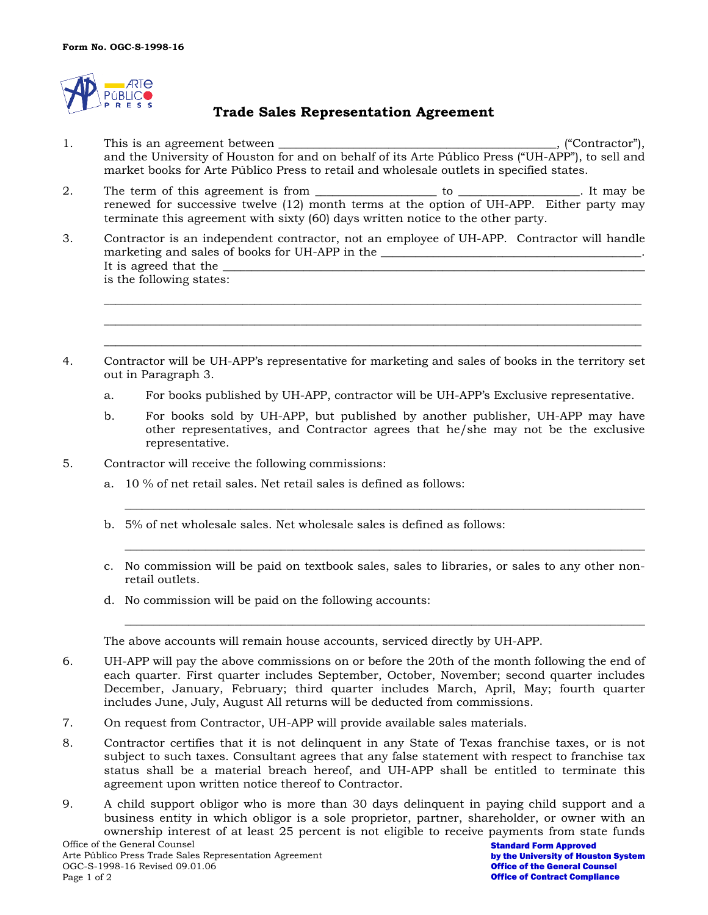

## **Trade Sales Representation Agreement**

- 1. This is an agreement between \_\_\_\_\_\_\_\_\_\_\_\_\_\_\_\_\_\_\_\_\_\_\_\_\_\_\_\_\_\_\_\_\_\_\_\_\_\_\_\_\_\_\_\_\_\_\_\_, ("Contractor"), and the University of Houston for and on behalf of its Arte Público Press ("UH-APP"), to sell and market books for Arte Público Press to retail and wholesale outlets in specified states.
- 2. The term of this agreement is from \_\_\_\_\_\_\_\_\_\_\_\_\_\_\_\_\_\_\_\_\_ to \_\_\_\_\_\_\_\_\_\_\_\_\_\_\_\_\_\_\_\_\_. It may be renewed for successive twelve (12) month terms at the option of UH-APP. Either party may terminate this agreement with sixty (60) days written notice to the other party.
- 3. Contractor is an independent contractor, not an employee of UH-APP. Contractor will handle marketing and sales of books for UH-APP in the It is agreed that the is the following states:
- 4. Contractor will be UH-APP's representative for marketing and sales of books in the territory set out in Paragraph 3.
	- a. For books published by UH-APP, contractor will be UH-APP's Exclusive representative.

\_\_\_\_\_\_\_\_\_\_\_\_\_\_\_\_\_\_\_\_\_\_\_\_\_\_\_\_\_\_\_\_\_\_\_\_\_\_\_\_\_\_\_\_\_\_\_\_\_\_\_\_\_\_\_\_\_\_\_\_\_\_\_\_\_\_\_\_\_\_\_\_\_\_\_\_\_\_\_\_\_\_\_\_\_\_\_\_\_\_\_\_\_ \_\_\_\_\_\_\_\_\_\_\_\_\_\_\_\_\_\_\_\_\_\_\_\_\_\_\_\_\_\_\_\_\_\_\_\_\_\_\_\_\_\_\_\_\_\_\_\_\_\_\_\_\_\_\_\_\_\_\_\_\_\_\_\_\_\_\_\_\_\_\_\_\_\_\_\_\_\_\_\_\_\_\_\_\_\_\_\_\_\_\_\_\_ \_\_\_\_\_\_\_\_\_\_\_\_\_\_\_\_\_\_\_\_\_\_\_\_\_\_\_\_\_\_\_\_\_\_\_\_\_\_\_\_\_\_\_\_\_\_\_\_\_\_\_\_\_\_\_\_\_\_\_\_\_\_\_\_\_\_\_\_\_\_\_\_\_\_\_\_\_\_\_\_\_\_\_\_\_\_\_\_\_\_\_\_\_

- b. For books sold by UH-APP, but published by another publisher, UH-APP may have other representatives, and Contractor agrees that he/she may not be the exclusive representative.
- 5. Contractor will receive the following commissions:
	- a. 10 % of net retail sales. Net retail sales is defined as follows:
	- b. 5% of net wholesale sales. Net wholesale sales is defined as follows:
	- c. No commission will be paid on textbook sales, sales to libraries, or sales to any other nonretail outlets.

\_\_\_\_\_\_\_\_\_\_\_\_\_\_\_\_\_\_\_\_\_\_\_\_\_\_\_\_\_\_\_\_\_\_\_\_\_\_\_\_\_\_\_\_\_\_\_\_\_\_\_\_\_\_\_\_\_\_\_\_\_\_\_\_\_\_\_\_\_\_\_\_\_\_\_\_\_\_\_\_\_\_\_\_\_\_\_\_\_\_

\_\_\_\_\_\_\_\_\_\_\_\_\_\_\_\_\_\_\_\_\_\_\_\_\_\_\_\_\_\_\_\_\_\_\_\_\_\_\_\_\_\_\_\_\_\_\_\_\_\_\_\_\_\_\_\_\_\_\_\_\_\_\_\_\_\_\_\_\_\_\_\_\_\_\_\_\_\_\_\_\_\_\_\_\_\_\_\_\_\_

\_\_\_\_\_\_\_\_\_\_\_\_\_\_\_\_\_\_\_\_\_\_\_\_\_\_\_\_\_\_\_\_\_\_\_\_\_\_\_\_\_\_\_\_\_\_\_\_\_\_\_\_\_\_\_\_\_\_\_\_\_\_\_\_\_\_\_\_\_\_\_\_\_\_\_\_\_\_\_\_\_\_\_\_\_\_\_\_\_\_

d. No commission will be paid on the following accounts:

The above accounts will remain house accounts, serviced directly by UH-APP.

- 6. UH-APP will pay the above commissions on or before the 20th of the month following the end of each quarter. First quarter includes September, October, November; second quarter includes December, January, February; third quarter includes March, April, May; fourth quarter includes June, July, August All returns will be deducted from commissions.
- 7. On request from Contractor, UH-APP will provide available sales materials.
- 8. Contractor certifies that it is not delinquent in any State of Texas franchise taxes, or is not subject to such taxes. Consultant agrees that any false statement with respect to franchise tax status shall be a material breach hereof, and UH-APP shall be entitled to terminate this agreement upon written notice thereof to Contractor.
- 9. A child support obligor who is more than 30 days delinquent in paying child support and a business entity in which obligor is a sole proprietor, partner, shareholder, or owner with an ownership interest of at least 25 percent is not eligible to receive payments from state funds